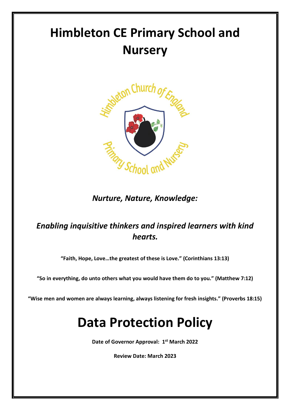# **Himbleton CE Primary School and Nursery**



# *Nurture, Nature, Knowledge:*

# *Enabling inquisitive thinkers and inspired learners with kind hearts.*

**"Faith, Hope, Love…the greatest of these is Love." (Corinthians 13:13)**

**"So in everything, do unto others what you would have them do to you." (Matthew 7:12)**

**"Wise men and women are always learning, always listening for fresh insights." (Proverbs 18:15)**

# **Data Protection Policy**

**Date of Governor Approval: 1 st March 2022**

**Review Date: March 2023**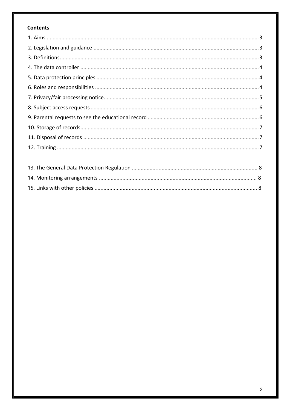# **Contents**

<span id="page-1-0"></span>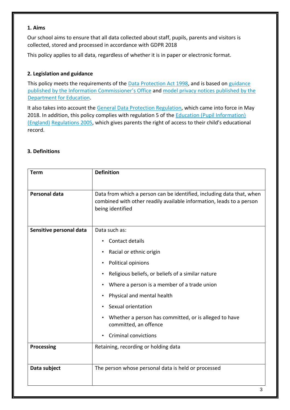#### **1. Aims**

Our school aims to ensure that all data collected about staff, pupils, parents and visitors is collected, stored and processed in accordance with GDPR 2018

This policy applies to all data, regardless of whether it is in paper or electronic format.

# <span id="page-2-0"></span>**2. Legislation and guidance**

This policy meets the requirements of the [Data Protection Act 1998,](http://www.legislation.gov.uk/ukpga/1998/29/contents) and is based on [guidance](https://ico.org.uk/for-organisations/guide-to-data-protection/) [published by the Information Commissioner's Office](https://ico.org.uk/for-organisations/guide-to-data-protection/) and [model privacy notices published by the](https://www.gov.uk/government/publications/data-protection-and-privacy-privacy-notices) [Department for Education.](https://www.gov.uk/government/publications/data-protection-and-privacy-privacy-notices)

It also takes into account the [General Data Protection Regulation,](http://data.consilium.europa.eu/doc/document/ST-5419-2016-INIT/en/pdf) which came into force in May 2018. In addition, this policy compli[e](http://www.legislation.gov.uk/uksi/2005/1437/regulation/5/made)s with regulation 5 of the Education (Pupil Information) [\(England\)](http://www.legislation.gov.uk/uksi/2005/1437/regulation/5/made) [Regulations 2005,](http://www.legislation.gov.uk/uksi/2005/1437/regulation/5/made) which gives parents the right of access to their child's educational record.

## <span id="page-2-1"></span>**3. Definitions**

| <b>Term</b>             | <b>Definition</b>                                                              |  |
|-------------------------|--------------------------------------------------------------------------------|--|
| <b>Personal data</b>    | Data from which a person can be identified, including data that, when          |  |
|                         | combined with other readily available information, leads to a person           |  |
|                         | being identified                                                               |  |
| Sensitive personal data | Data such as:                                                                  |  |
|                         | Contact details<br>$\bullet$                                                   |  |
|                         | Racial or ethnic origin                                                        |  |
|                         | Political opinions                                                             |  |
|                         | Religious beliefs, or beliefs of a similar nature                              |  |
|                         | Where a person is a member of a trade union                                    |  |
|                         | Physical and mental health                                                     |  |
|                         | Sexual orientation                                                             |  |
|                         | Whether a person has committed, or is alleged to have<br>committed, an offence |  |
|                         | <b>Criminal convictions</b>                                                    |  |
| Processing              | Retaining, recording or holding data                                           |  |
|                         |                                                                                |  |
| Data subject            | The person whose personal data is held or processed                            |  |
|                         |                                                                                |  |
|                         | 3                                                                              |  |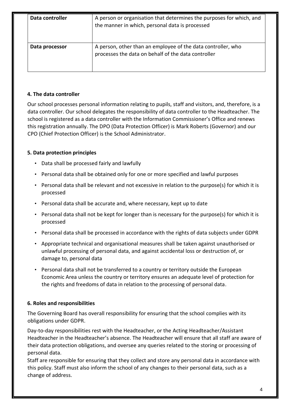| Data controller | A person or organisation that determines the purposes for which, and<br>the manner in which, personal data is processed |  |
|-----------------|-------------------------------------------------------------------------------------------------------------------------|--|
| Data processor  | A person, other than an employee of the data controller, who<br>processes the data on behalf of the data controller     |  |

### <span id="page-3-0"></span>**4. The data controller**

Our school processes personal information relating to pupils, staff and visitors, and, therefore, is a data controller. Our school delegates the responsibility of data controller to the Headteacher. The school is registered as a data controller with the Information Commissioner's Office and renews this registration annually. The DPO (Data Protection Officer) is Mark Roberts (Governor) and our CPO (Chief Protection Officer) is the School Administrator.

### <span id="page-3-1"></span>**5. Data protection principles**

- Data shall be processed fairly and lawfully
- Personal data shall be obtained only for one or more specified and lawful purposes
- Personal data shall be relevant and not excessive in relation to the purpose(s) for which it is processed
- Personal data shall be accurate and, where necessary, kept up to date
- Personal data shall not be kept for longer than is necessary for the purpose(s) for which it is processed
- Personal data shall be processed in accordance with the rights of data subjects under GDPR
- Appropriate technical and organisational measures shall be taken against unauthorised or unlawful processing of personal data, and against accidental loss or destruction of, or damage to, personal data
- Personal data shall not be transferred to a country or territory outside the European Economic Area unless the country or territory ensures an adequate level of protection for the rights and freedoms of data in relation to the processing of personal data.

#### <span id="page-3-2"></span>**6. Roles and responsibilities**

The Governing Board has overall responsibility for ensuring that the school complies with its obligations under GDPR.

Day-to-day responsibilities rest with the Headteacher, or the Acting Headteacher/Assistant Headteacher in the Headteacher's absence. The Headteacher will ensure that all staff are aware of their data protection obligations, and oversee any queries related to the storing or processing of personal data.

Staff are responsible for ensuring that they collect and store any personal data in accordance with this policy. Staff must also inform the school of any changes to their personal data, such as a change of address.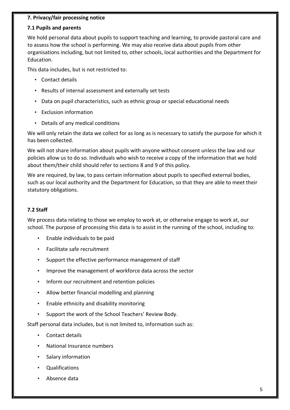### <span id="page-4-0"></span>**7. Privacy/fair processing notice**

#### **7.1 Pupils and parents**

We hold personal data about pupils to support teaching and learning, to provide pastoral care and to assess how the school is performing. We may also receive data about pupils from other organisations including, but not limited to, other schools, local authorities and the Department for Education.

This data includes, but is not restricted to:

- Contact details
- Results of internal assessment and externally set tests
- Data on pupil characteristics, such as ethnic group or special educational needs
- Exclusion information
- Details of any medical conditions

We will only retain the data we collect for as long as is necessary to satisfy the purpose for which it has been collected.

We will not share information about pupils with anyone without consent unless the law and our policies allow us to do so. Individuals who wish to receive a copy of the information that we hold about them/their child should refer to sections 8 and 9 of this policy.

We are required, by law, to pass certain information about pupils to specified external bodies, such as our local authority and the Department for Education, so that they are able to meet their statutory obligations.

### **7.2 Staff**

We process data relating to those we employ to work at, or otherwise engage to work at, our school. The purpose of processing this data is to assist in the running of the school, including to:

- Enable individuals to be paid
- Facilitate safe recruitment
- Support the effective performance management of staff
- Improve the management of workforce data across the sector
- Inform our recruitment and retention policies
- Allow better financial modelling and planning
- Enable ethnicity and disability monitoring
- Support the work of the School Teachers' Review Body.

Staff personal data includes, but is not limited to, information such as:

- Contact details
- National Insurance numbers
- Salary information
- Qualifications
- Absence data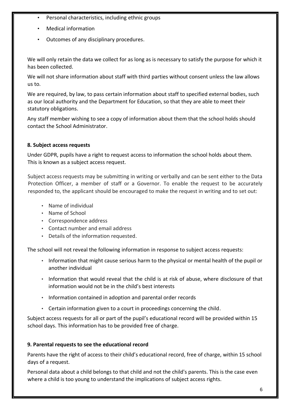- Personal characteristics, including ethnic groups
- Medical information
- Outcomes of any disciplinary procedures.

We will only retain the data we collect for as long as is necessary to satisfy the purpose for which it has been collected.

We will not share information about staff with third parties without consent unless the law allows us to.

We are required, by law, to pass certain information about staff to specified external bodies, such as our local authority and the Department for Education, so that they are able to meet their statutory obligations.

Any staff member wishing to see a copy of information about them that the school holds should contact the School Administrator.

### <span id="page-5-0"></span>**8. Subject access requests**

Under GDPR, pupils have a right to request access to information the school holds about them. This is known as a subject access request.

Subject access requests may be submitting in writing or verbally and can be sent either to the Data Protection Officer, a member of staff or a Governor. To enable the request to be accurately responded to, the applicant should be encouraged to make the request in writing and to set out:

- Name of individual
- Name of School
- Correspondence address
- Contact number and email address
- Details of the information requested.

The school will not reveal the following information in response to subject access requests:

- Information that might cause serious harm to the physical or mental health of the pupil or another individual
- Information that would reveal that the child is at risk of abuse, where disclosure of that information would not be in the child's best interests
- Information contained in adoption and parental order records
- Certain information given to a court in proceedings concerning the child.

Subject access requests for all or part of the pupil's educational record will be provided within 15 school days. This information has to be provided free of charge.

### <span id="page-5-1"></span>**9. Parental requests to see the educational record**

Parents have the right of access to their child's educational record, free of charge, within 15 school days of a request.

Personal data about a child belongs to that child and not the child's parents. This is the case even where a child is too young to understand the implications of subject access rights.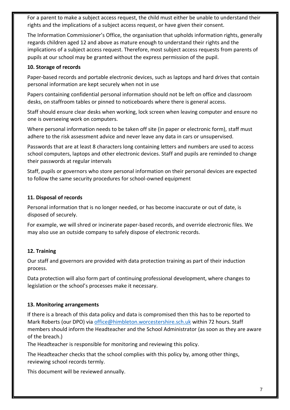For a parent to make a subject access request, the child must either be unable to understand their rights and the implications of a subject access request, or have given their consent.

The Information Commissioner's Office, the organisation that upholds information rights, generally regards children aged 12 and above as mature enough to understand their rights and the implications of a subject access request. Therefore, most subject access requests from parents of pupils at our school may be granted without the express permission of the pupil.

### <span id="page-6-0"></span>**10. Storage of records**

Paper-based records and portable electronic devices, such as laptops and hard drives that contain personal information are kept securely when not in use

Papers containing confidential personal information should not be left on office and classroom desks, on staffroom tables or pinned to noticeboards where there is general access.

Staff should ensure clear desks when working, lock screen when leaving computer and ensure no one is overseeing work on computers.

Where personal information needs to be taken off site (in paper or electronic form), staff must adhere to the risk assessment advice and never leave any data in cars or unsupervised.

Passwords that are at least 8 characters long containing letters and numbers are used to access school computers, laptops and other electronic devices. Staff and pupils are reminded to change their passwords at regular intervals

Staff, pupils or governors who store personal information on their personal devices are expected to follow the same security procedures for school-owned equipment

#### <span id="page-6-1"></span>**11. Disposal of records**

Personal information that is no longer needed, or has become inaccurate or out of date, is disposed of securely.

For example, we will shred or incinerate paper-based records, and override electronic files. We may also use an outside company to safely dispose of electronic records.

### <span id="page-6-2"></span>**12. Training**

Our staff and governors are provided with data protection training as part of their induction process.

Data protection will also form part of continuing professional development, where changes to legislation or the school's processes make it necessary.

### **13. Monitoring arrangements**

If there is a breach of this data policy and data is compromised then this has to be reported to Mark Roberts (our DPO) via [office@himbleton.worcestershire.sch.uk](mailto:office@himbleton.worcestershire.sch.uk) within 72 hours. Staff members should inform the Headteacher and the School Administrator (as soon as they are aware of the breach.)

The Headteacher is responsible for monitoring and reviewing this policy.

The Headteacher checks that the school complies with this policy by, among other things, reviewing school records termly.

This document will be reviewed annually.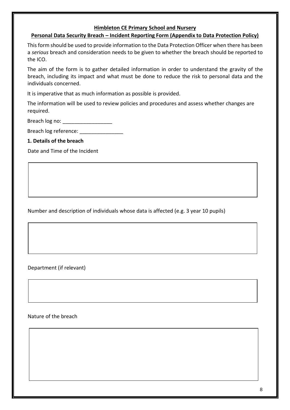#### **Himbleton CE Primary School and Nursery**

# **Personal Data Security Breach – Incident Reporting Form (Appendix to Data Protection Policy)**

This form should be used to provide information to the Data Protection Officer when there has been a *serious* breach and consideration needs to be given to whether the breach should be reported to the ICO.

The aim of the form is to gather detailed information in order to understand the gravity of the breach, including its impact and what must be done to reduce the risk to personal data and the individuals concerned.

It is imperative that as much information as possible is provided.

The information will be used to review policies and procedures and assess whether changes are required.

Breach log no: \_\_\_\_\_\_\_\_\_\_\_\_\_\_\_\_\_\_\_\_

Breach log reference:

**1. Details of the breach** 

Date and Time of the Incident

Number and description of individuals whose data is affected (e.g. 3 year 10 pupils)

Department (if relevant)

Nature of the breach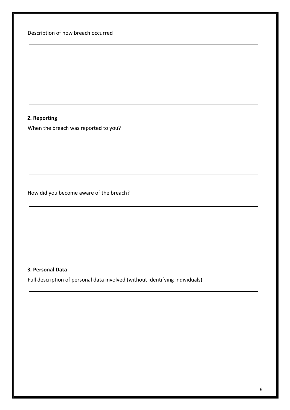Description of how breach occurred

## **2. Reporting**

When the breach was reported to you?

How did you become aware of the breach?

# **3. Personal Data**

Full description of personal data involved (without identifying individuals)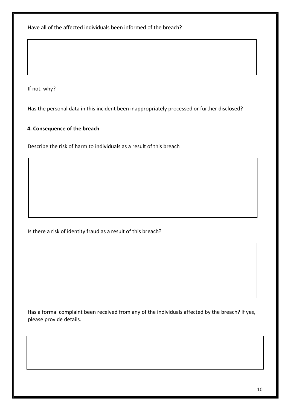Have all of the affected individuals been informed of the breach?

If not, why?

Has the personal data in this incident been inappropriately processed or further disclosed?

#### **4. Consequence of the breach**

Describe the risk of harm to individuals as a result of this breach

Is there a risk of identity fraud as a result of this breach?

Has a formal complaint been received from any of the individuals affected by the breach? If yes, please provide details.